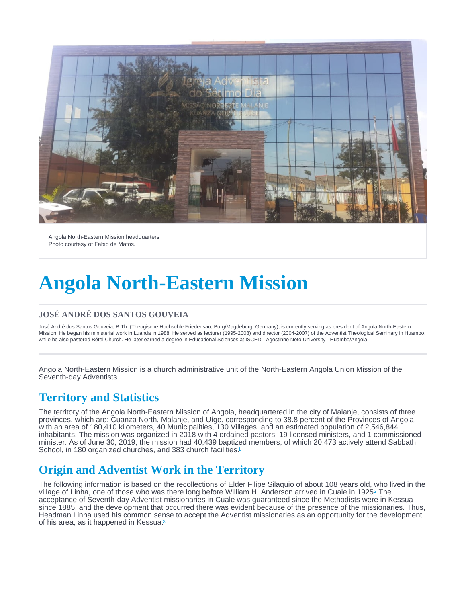<span id="page-0-0"></span>Angola North-Eastern Mission headquarters Photo courtesy of Fabio de Matos.

# Angola North-Eastern Mission

#### JOSÉ ANDRÉ DOS SANTOS GOUVEIA

José André dos Santos Gouveia, B.Th. (Theogische Hochschle Friedensau, Burg/Magdeburg, Germany), is currently serving as president of Angola North-Eastern Mission. He began his ministerial work in Luanda in 1988. He served as lecturer (1995-2008) and director (2004-2007) of the Adventist Theological Seminary in Huambo, while he also pastored Bétel Church. He later earned a degree in Educational Sciences at ISCED - Agostinho Neto University - Huambo/Angola.

Angola North-Eastern Mission is a church administrative unit of the North-Eastern Angola Union Mission of the Seventh-day Adventists.

### Territory and Statistics

The territory of the Angola North-Eastern Mission of Angola, headquartered in the city of Malanje, consists of three provinces, which are: Cuanza North, Malanje, and Uíge, corresponding to 38.8 percent of the Provinces of Angola, with an area of 180,410 kilometers, 40 Municipalities, 130 Villages, and an estimated population of 2,546,844 inhabitants. The mission was organized in 2018 with 4 ordained pastors, 19 licensed ministers, and 1 commissioned minister. As of June 30, 2019, the mission had 40,439 baptized members, of which 20,473 actively attend Sabbath School, in [1](#page-5-0)80 organized churches, and 383 church facilities.<sup>1</sup>

## Origin and Adventist Work in the Territory

The following information is based on the recollections of Elder Filipe Silaquio of about 108 years old, who lived in the village of Linha, one of those who was there long before William H[.](#page-5-0) Anderson arrived in Cuale in 1925? The acceptance of Seventh-day Adventist missionaries in Cuale was guaranteed since the Methodists were in Kessua since 1885, and the development that occurred there was evident because of the presence of the missionaries. Thus, Headman Linha used his common sense to accept the Adventist missionaries as an opportunity for the development of his area, as it happened in Kessua.<sup>[3](#page-5-0)</sup>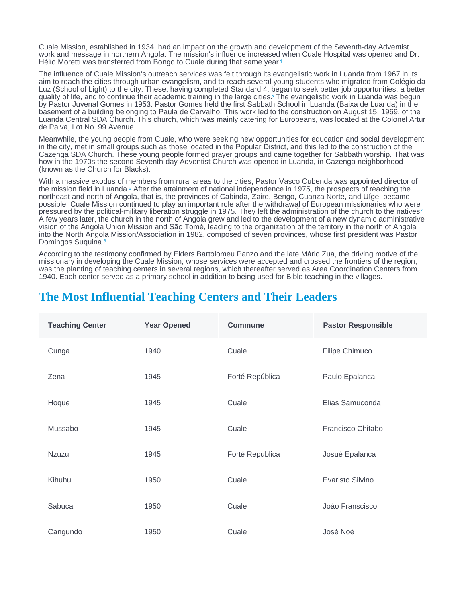<span id="page-1-0"></span>Cuale Mission, established in 1934, had an impact on the growth and development of the Seventh-day Adventist work and message in northern Angola. The mission's influence increased when Cuale Hospital was opened and Dr. Hélio Moretti was transferred from Bongo to Cuale during that same year.<sup>[4](#page-5-0)</sup>

The influence of Cuale Mission's outreach services was felt through its evangelistic work in Luanda from 1967 in its aim to reach the cities through urban evangelism, and to reach several young students who migrated from Colégio da Luz (School of Light) to the city. These, having completed Standard 4, began to seek better job opportunities, a better quality of life, and to continue their academic training in the large cities[.](#page-5-0) The evangelistic work in Luanda was begun by Pastor Juvenal Gomes in 1953. Pastor Gomes held the first Sabbath School in Luanda (Baixa de Luanda) in the basement of a building belonging to Paula de Carvalho. This work led to the construction on August 15, 1969, of the Luanda Central SDA Church. This church, which was mainly catering for Europeans, was located at the Colonel Artur de Paiva, Lot No. 99 Avenue.

Meanwhile, the young people from Cuale, who were seeking new opportunities for education and social development in the city, met in small groups such as those located in the Popular District, and this led to the construction of the Cazenga SDA Church. These young people formed prayer groups and came together for Sabbath worship. That was how in the 1970s the second Seventh-day Adventist Church was opened in Luanda, in Cazenga neighborhood (known as the Church for Blacks).

With a massive exodus of members from rural areas to the cities, Pastor Vasco Cubenda was appointed director of the mission field in Luanda.<sup>6</sup> After the attainment of national independence in 1975, the prospects of reaching the northeast and north of Angola, that is, the provinces of Cabinda, Zaire, Bengo, Cuanza Norte, and Uíge, became possible. Cuale Mission continued to play an important role after the withdrawal of European missionaries who were pressured by the political-military liberation struggle in 19[7](#page-6-0)5. They left the administration of the church to the natives? A few years later, the church in the north of Angola grew and led to the development of a new dynamic administrative vision of the Angola Union Mission and São Tomé, leading to the organization of the territory in the north of Angola into the North Angola Mission/Association in 1982, composed of seven provinces, whose first president was Pastor Domingos Suquina.<sup>[8](#page-6-0)</sup>

According to the testimony confirmed by Elders Bartolomeu Panzo and the late Mário Zua, the driving motive of the missionary in developing the Cuale Mission, whose services were accepted and crossed the frontiers of the region, was the planting of teaching centers in several regions, which thereafter served as Area Coordination Centers from 1940. Each center served as a primary school in addition to being used for Bible teaching in the villages.

## The Most Influential Teaching Centers and Their Leaders

| <b>Teaching Center</b> | Year Opened | Commune         | Pastor Responsible |
|------------------------|-------------|-----------------|--------------------|
| Cunga                  | 1940        | Cuale           | Filipe Chimuco     |
| Zena                   | 1945        | Forté República | Paulo Epalanca     |
| Hoque                  | 1945        | Cuale           | Elias Samuconda    |
| Mussabo                | 1945        | Cuale           | Francisco Chitabo  |
| <b>Nzuzu</b>           | 1945        | Forté Republica | Josué Epalanca     |
| Kihuhu                 | 1950        | Cuale           | Evaristo Silvino   |
| Sabuca                 | 1950        | Cuale           | Joáo Franscisco    |
| Cangundo               | 1950        | Cuale           | José Noé           |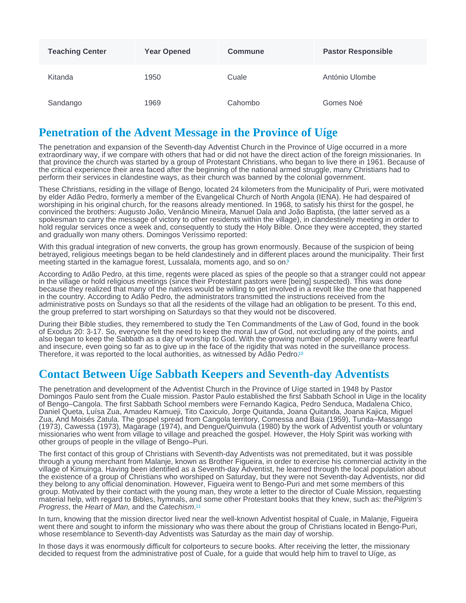<span id="page-2-0"></span>

| <b>Teaching Center</b> | <b>Year Opened</b> | Commune | Pastor Responsible |
|------------------------|--------------------|---------|--------------------|
| Kitanda                | 1950               | Cuale   | António Ulombe     |
| Sandango               | 1969               | Cahombo | Gomes Noé          |

# Penetration of the Advent Message in the Province of Uíge

The penetration and expansion of the Seventh-day Adventist Church in the Province of Uíge occurred in a more extraordinary way, if we compare with others that had or did not have the direct action of the foreign missionaries. In that province the church was started by a group of Protestant Christians, who began to live there in 1961. Because of the critical experience their area faced after the beginning of the national armed struggle, many Christians had to perform their services in clandestine ways, as their church was banned by the colonial government.

These Christians, residing in the village of Bengo, located 24 kilometers from the Municipality of Puri, were motivated by elder Adão Pedro, formerly a member of the Evangelical Church of North Angola (IENA). He had despaired of worshiping in his original church, for the reasons already mentioned. In 1968, to satisfy his thirst for the gospel, he convinced the brothers: Augusto João, Venâncio Mineira, Manuel Dala and João Baptista, (the latter served as a spokesman to carry the message of victory to other residents within the village), in clandestinely meeting in order to hold regular services once a week and, consequently to study the Holy Bible. Once they were accepted, they started and gradually won many others. Domingos Veríssimo reported:

With this gradual integration of new converts, the group has grown enormously. Because of the suspicion of being betrayed, religious meetings began to be held clandestinely and in different places around the municipality. Their first meeting started in the kamague forest, Lussalala, moments ago, and so on.<sup>[9](#page-6-0)</sup>

According to Adão Pedro, at this time, regents were placed as spies of the people so that a stranger could not appear in the village or hold religious meetings (since their Protestant pastors were [being] suspected). This was done because they realized that many of the natives would be willing to get involved in a revolt like the one that happened in the country. According to Adão Pedro, the administrators transmitted the instructions received from the administrative posts on Sundays so that all the residents of the village had an obligation to be present. To this end, the group preferred to start worshiping on Saturdays so that they would not be discovered.

During their Bible studies, they remembered to study the Ten Commandments of the Law of God, found in the book of Exodus 20: 3-17. So, everyone felt the need to keep the moral Law of God, not excluding any of the points, and also began to keep the Sabbath as a day of worship to God. With the growing number of people, many were fearful and insecure, even going so far as to give up in the face of the rigidity that was noted in the surveillance process. Therefore, it was reported to the local authorities, as witnessed by Adão Pedro.<sup>[10](#page-6-0)</sup>

## Contact Between Uíge Sabbath Keepers and Seventh-day Adventists

The penetration and development of the Adventist Church in the Province of Uíge started in 1948 by Pastor Domingos Paulo sent from the Cuale mission. Pastor Paulo established the first Sabbath School in Uige in the locality of Bengo–Cangola. The first Sabbath School members were Fernando Kagica, Pedro Senduca, Madalena Chico, Daniel Queta, Luísa Zua, Amadeu Kamueji, Tito Caxiculo, Jorge Quitanda, Joana Quitanda, Joana Kajica, Miguel Zua, And Moisés Zatula. The gospel spread from Cangola territory, Comessa and Baia (1959), Tunda–Massango (1973), Cawessa (1973), Magarage (1974), and Dengue/Quinvula (1980) by the work of Adventist youth or voluntary missionaries who went from village to village and preached the gospel. However, the Holy Spirit was working with other groups of people in the village of Bengo–Puri.

The first contact of this group of Christians with Seventh-day Adventists was not premeditated, but it was possible through a young merchant from Malanje, known as Brother Figueira, in order to exercise his commercial activity in the village of Kimuinga. Having been identified as a Seventh-day Adventist, he learned through the local population about the existence of a group of Christians who worshiped on Saturday, but they were not Seventh-day Adventists, nor did they belong to any official denomination. However, Figueira went to Bengo-Puri and met some members of this group. Motivated by their contact with the young man, they wrote a letter to the director of Cuale Mission, requesting material help, with regard to Bibles, hymnals, and some other Protestant books that they knew, such as: the Pilgrim's Progress, the Heart of Man, and the Catechism. [11](#page-6-0)

In turn, knowing that the mission director lived near the well-known Adventist hospital of Cuale, in Malanje, Figueira went there and sought to inform the missionary who was there about the group of Christians located in Bengo-Puri, whose resemblance to Seventh-day Adventists was Saturday as the main day of worship.

In those days it was enormously difficult for colporteurs to secure books. After receiving the letter, the missionary decided to request from the administrative post of Cuale, for a guide that would help him to travel to Uíge, as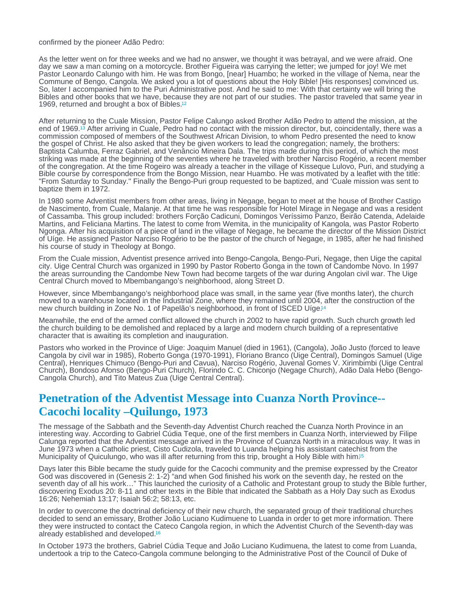#### <span id="page-3-0"></span>confirmed by the pioneer Adão Pedro:

As the letter went on for three weeks and we had no answer, we thought it was betrayal, and we were afraid. One day we saw a man coming on a motorcycle. Brother Figueira was carrying the letter; we jumped for joy! We met Pastor Leonardo Calungo with him. He was from Bongo, [near] Huambo; he worked in the village of Nema, near the Commune of Bengo, Cangola. We asked you a lot of questions about the Holy Bible! [His responses] convinced us. So, later I accompanied him to the Puri Administrative post. And he said to me: With that certainty we will bring the Bibles and other books that we have, because they are not part of our studies. The pastor traveled that same year in 1969, returned and brought a box of Bibles.[12](#page-6-0)

After returning to the Cuale Mission, Pastor Felipe Calungo asked Brother Adão Pedro to attend the mission, at the end of 1969.<sup>13</sup> After arriving in Cuale, Pedro had no contact with the mission director, but, coincidentally, there was a commission composed of members of the Southwest African Division, to whom Pedro presented the need to know the gospel of Christ. He also asked that they be given workers to lead the congregation; namely, the brothers: Baptista Calumba, Ferraz Gabriel, and Venâncio Mineira Dala. The trips made during this period, of which the most striking was made at the beginning of the seventies where he traveled with brother Narciso Rogério, a recent member of the congregation. At the time Rogeiro was already a teacher in the village of Kisseque Lulovo, Puri, and studying a Bible course by correspondence from the Bongo Mission, near Huambo. He was motivated by a leaflet with the title: "From Saturday to Sunday." Finally the Bengo-Puri group requested to be baptized, and 'Cuale mission was sent to baptize them in 1972.

In 1980 some Adventist members from other areas, living in Negage, began to meet at the house of Brother Castigo de Nascimento, from Cuale, Malanje. At that time he was responsible for Hotel Mirage in Negage and was a resident of Cassamba. This group included: brothers Forção Cadicuni, Domingos Veríssimo Panzo, Beirão Catenda, Adelaide Martins, and Feliciana Martins. The latest to come from Wemita, in the municipality of Kangola, was Pastor Roberto Ngonga. After his acquisition of a piece of land in the village of Negage, he became the director of the Mission District of Uíge. He assigned Pastor Narciso Rogério to be the pastor of the church of Negage, in 1985, after he had finished his course of study in Theology at Bongo.

From the Cuale mission, Adventist presence arrived into Bengo-Cangola, Bengo-Puri, Negage, then Uige the capital city. Uige Central Church was organized in 1990 by Pastor Roberto Gonga in the town of Candombe Novo. In 1997 the areas surrounding the Candombe New Town had become targets of the war during Angolan civil war. The Uige Central Church moved to Mbembangango's neighborhood, along Street D.

However, since Mbembangango's neighborhood place was small, in the same year (five months later), the church moved to a warehouse located in the Industrial Zone, where they remained until 2004, after the construction of the new church building in Zone No. 1 of Papelão's neighborhood, in front of ISCED Uíge.[14](#page-6-0)

Meanwhile, the end of the armed conflict allowed the church in 2002 to have rapid growth. Such church growth led the church building to be demolished and replaced by a large and modern church building of a representative character that is awaiting its completion and inauguration.

Pastors who worked in the Province of Uige: Joaquim Manuel (died in 1961), (Cangola), João Justo (forced to leave Cangola by civil war in 1985), Roberto Gonga (1970-1991), Floriano Branco (Uige Central), Domingos Samuel (Uige Central), Henriques Chimuco (Bengo-Puri and Cavua), Narciso Rogério, Juvenal Gomes V. Xirimbimbi (Uige Central Church), Bondoso Afonso (Bengo-Puri Church), Florindo C. C. Chiconjo (Negage Church), Adão Dala Hebo (Bengo-Cangola Church), and Tito Mateus Zua (Uige Central Central).

## Penetration of the Adventist Message into Cuanza North Province-- Cacochi locality –Quilungo, 1973

The message of the Sabbath and the Seventh-day Adventist Church reached the Cuanza North Province in an interesting way. According to Gabriel Cúdia Teque, one of the first members in Cuanza North, interviewed by Filipe Calunga reported that the Adventist message arrived in the Province of Cuanza North in a miraculous way. It was in June 1973 when a Catholic priest, Cisto Cudizola, traveled to Luanda helping his assistant catechist from the Municipality of Quiculungo, who was ill after returning from this trip, brought a Holy Bible with him.<sup>[15](#page-6-0)</sup>

Days later this Bible became the study guide for the Cacochi community and the premise expressed by the Creator God was discovered in (Genesis 2: 1-2) "and when God finished his work on the seventh day, he rested on the seventh day of all his work…" This launched the curiosity of a Catholic and Protestant group to study the Bible further, discovering Exodus 20: 8-11 and other texts in the Bible that indicated the Sabbath as a Holy Day such as Exodus 16:26; Nehemiah 13:17; Isaiah 56:2; 58:13, etc.

In order to overcome the doctrinal deficiency of their new church, the separated group of their traditional churches decided to send an emissary, Brother João Luciano Kudimuene to Luanda in order to get more information. There they were instructed to contact the Cateco Cangola region, in which the Adventist Church of the Seventh-day was already established and developed.[16](#page-6-0)

In October 1973 the brothers, Gabriel Cúdia Teque and João Luciano Kudimuena, the latest to come from Luanda, undertook a trip to the Cateco-Cangola commune belonging to the Administrative Post of the Council of Duke of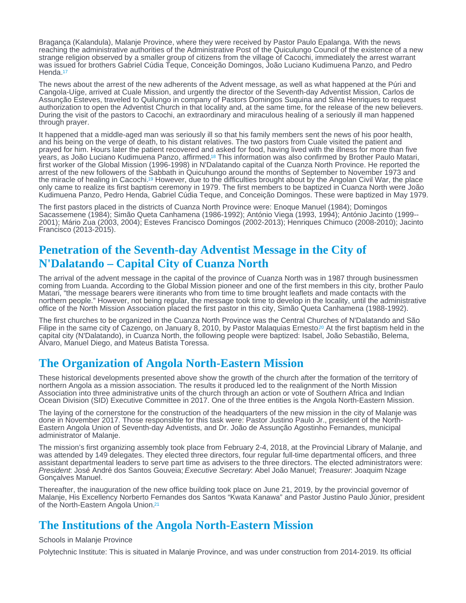<span id="page-4-0"></span>Bragança (Kalandula), Malanje Province, where they were received by Pastor Paulo Epalanga. With the news reaching the administrative authorities of the Administrative Post of the Quiculungo Council of the existence of a new strange religion observed by a smaller group of citizens from the village of Cacochi, immediately the arrest warrant was issued for brothers Gabriel Cúdia Teque, Conceição Domingos, João Luciano Kudimuena Panzo, and Pedro Henda.<sup>[17](#page-6-0)</sup>

The news about the arrest of the new adherents of the Advent message, as well as what happened at the Púri and Cangola-Uíge, arrived at Cuale Mission, and urgently the director of the Seventh-day Adventist Mission, Carlos de Assunção Esteves, traveled to Quilungo in company of Pastors Domingos Suquina and Silva Henriques to request authorization to open the Adventist Church in that locality and, at the same time, for the release of the new believers. During the visit of the pastors to Cacochi, an extraordinary and miraculous healing of a seriously ill man happened through prayer.

It happened that a middle-aged man was seriously ill so that his family members sent the news of his poor health, and his being on the verge of death, to his distant relatives. The two pastors from Cuale visited the patient and prayed for him. Hours later the patient recovered and asked for food, having lived with the illness for more than five years, as João Luciano Kudimuena Panzo, affirmed.<sup>18</sup> This information was also confirmed by Brother Paulo Matari, first worker of the Global Mission (1996-1998) in N'Dalatando capital of the Cuanza North Province. He reported the arrest of the new followers of the Sabbath in Quicuhungo around the months of September to November 1973 and the miracle of healing in Cacochi[.](#page-6-0)<sup>19</sup> However, due to the difficulties brought about by the Angolan Civil War, the place only came to realize its first baptism ceremony in 1979. The first members to be baptized in Cuanza North were: João Kudimuena Panzo, Pedro Henda, Gabriel Cúdia Teque, and Conceição Domingos. These were baptized in May 1979.

The first pastors placed in the districts of Cuanza North Province were: Enoque Manuel (1984); Domingos Sacassemene (1984); Simão Queta Canhamena (1986-1992); António Viega (1993, 1994); António Jacinto (1999-- 2001); Mário Zua (2003, 2004); Esteves Francisco Domingos (2002-2013); Henriques Chimuco (2008-2010); Jacinto Francisco (2013-2015).

### Penetration of the Seventh-day Adventist Message in the City of N'Dalatando – Capital City of Cuanza North

The arrival of the advent message in the capital of the province of Cuanza North was in 1987 through businessmen coming from Luanda. According to the Global Mission pioneer and one of the first members in this city, brother Paulo Matari, "the message bearers were itinerants who from time to time brought leaflets and made contacts with the northern people." However, not being regular, the message took time to develop in the locality, until the administrative office of the North Mission Association placed the first pastor in this city, Simão Queta Canhamena (1988-1992).

The first churches to be organized in the Cuanza North Province was the Central Churches of N'Dalatando and São Filipe in the same city of Cazengo, on January 8, 2010, by Pastor Malaquias Ernesto.<sup>20</sup> At the first baptism held in the capital city (N'Dalatando), in Cuanza North, the following people were baptized: Isabel, João Sebastião, Belema, Álvaro, Manuel Diego, and Mateus Batista Toressa.

## The Organization of Angola North-Eastern Mission

These historical developments presented above show the growth of the church after the formation of the territory of northern Angola as a mission association. The results it produced led to the realignment of the North Mission Association into three administrative units of the church through an action or vote of Southern Africa and Indian Ocean Division (SID) Executive Committee in 2017. One of the three entities is the Angola North-Eastern Mission.

The laying of the cornerstone for the construction of the headquarters of the new mission in the city of Malanje was done in November 2017. Those responsible for this task were: Pastor Justino Paulo Jr., president of the North-Eastern Angola Union of Seventh-day Adventists, and Dr. João de Assunção Agostinho Fernandes, municipal administrator of Malanje.

The mission's first organizing assembly took place from February 2-4, 2018, at the Provincial Library of Malanje, and was attended by 149 delegates. They elected three directors, four regular full-time departmental officers, and three assistant departmental leaders to serve part time as advisers to the three directors. The elected administrators were: President: José André dos Santos Gouveia; Executive Secretary: Abel João Manuel; Treasurer: Joaquim Nzage Gonçalves Manuel.

Thereafter, the inauguration of the new office building took place on June 21, 2019, by the provincial governor of Malanje, His Excellency Norberto Fernandes dos Santos "Kwata Kanawa" and Pastor Justino Paulo Júnior, president of the North-Eastern Angola Union.[21](#page-6-0)

# The Institutions of the Angola North-Eastern Mission

#### Schools in Malanje Province

Polytechnic Institute: This is situated in Malanje Province, and was under construction from 2014-2019. Its official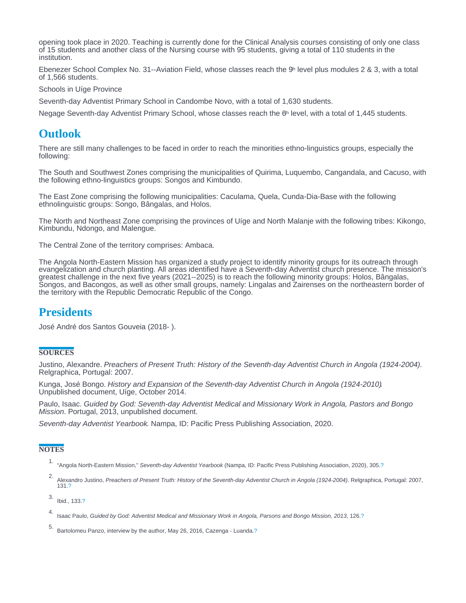<span id="page-5-0"></span>opening took place in 2020. Teaching is currently done for the Clinical Analysis courses consisting of only one class of 15 students and another class of the Nursing course with 95 students, giving a total of 110 students in the institution.

Ebenezer School Complex No. 31--Aviation Field, whose classes reach the 9<sup>th</sup> level plus modules 2 & 3, with a total of 1,566 students.

Schools in Uíge Province

Seventh-day Adventist Primary School in Candombe Novo, with a total of 1,630 students.

Negage Seventh-day Adventist Primary School, whose classes reach the 6<sup>th</sup> level, with a total of 1,445 students.

#### **Outlook**

There are still many challenges to be faced in order to reach the minorities ethno-linguistics groups, especially the following:

The South and Southwest Zones comprising the municipalities of Quirima, Luquembo, Cangandala, and Cacuso, with the following ethno-linguistics groups: Songos and Kimbundo.

The East Zone comprising the following municipalities: Caculama, Quela, Cunda-Dia-Base with the following ethnolinguistic groups: Songo, Bângalas, and Holos.

The North and Northeast Zone comprising the provinces of Uíge and North Malanje with the following tribes: Kikongo, Kimbundu, Ndongo, and Malengue.

The Central Zone of the territory comprises: Ambaca.

The Angola North-Eastern Mission has organized a study project to identify minority groups for its outreach through evangelization and church planting. All areas identified have a Seventh-day Adventist church presence. The mission's greatest challenge in the next five years (2021--2025) is to reach the following minority groups: Holos, Bângalas, Songos, and Bacongos, as well as other small groups, namely: Lingalas and Zairenses on the northeastern border of the territory with the Republic Democratic Republic of the Congo.

#### **Presidents**

José André dos Santos Gouveia (2018- ).

#### **SOURCES**

Justino, Alexandre. Preachers of Present Truth: History of the Seventh-day Adventist Church in Angola (1924-2004). Relgraphica, Portugal: 2007.

Kunga, José Bongo. History and Expansion of the Seventh-day Adventist Church in Angola (1924-2010). Unpublished document, Uíge, October 2014.

Paulo, Isaac. Guided by God: Seventh-day Adventist Medical and Missionary Work in Angola, Pastors and Bongo Mission. Portugal, 2013, unpublished document.

Seventh-day Adventist Yearbook. Nampa, ID: Pacific Press Publishing Association, 2020.

#### **NOTES**

- 1. "Angola North-Eastern Mission," Seventh-day Adventist Yearbook (Nampa, ID: Pacific Press Publishing Association, 2020), 305[.?](#page-0-0)
- 2. Alexandro Justino, Preachers of Present Truth: History of the Seventh-day Adventist Church in Angola (1924-2004). Relgraphica, Portugal: 2007, 131.[?](#page-0-0)

3. Ibid., 133.[?](#page-0-0)

Isaac Paulo, Guided by God: Adventist Medical and Missionary Work in Angola, Parsons and Bongo Mission, 2013, 126[.?](#page-1-0)

5. Bartolomeu Panzo, interview by the author, May 26, 2016, Cazenga - Luanda.[?](#page-1-0)